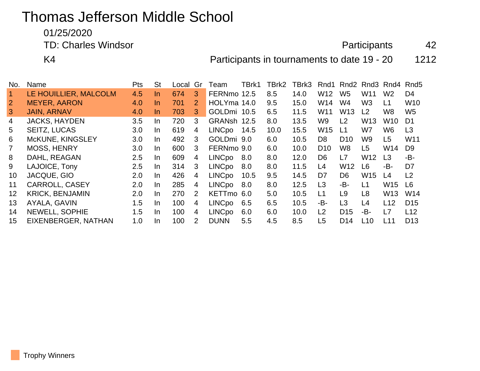# Thomas Jefferson Middle School

01/25/2020

TD: Charles Windsor **Accord Participants** 42

K4 **Participants in tournaments to date 19 - 20** 1212

| No.            | Name                   | Pts | <b>St</b> | Local | Gr             | Team          | TBrk1 | TBrk2 | TBrk3 | Rnd1            | Rnd2            |                 | Rnd <sub>3</sub> Rnd <sub>4</sub> | Rnd <sub>5</sub> |
|----------------|------------------------|-----|-----------|-------|----------------|---------------|-------|-------|-------|-----------------|-----------------|-----------------|-----------------------------------|------------------|
| $\mathbf{1}$   | LE HOUILLIER, MALCOLM  | 4.5 | In.       | 674   | 3              | FERNmo 12.5   |       | 8.5   | 14.0  | W <sub>12</sub> | W <sub>5</sub>  | W11             | W <sub>2</sub>                    | D <sub>4</sub>   |
| $\overline{2}$ | <b>MEYER, AARON</b>    | 4.0 | In.       | 701   | $\overline{2}$ | HOLYma 14.0   |       | 9.5   | 15.0  | W14             | W4              | W3              | L1                                | W <sub>10</sub>  |
| $\mathbf{3}$   | <b>JAIN, ARNAV</b>     | 4.0 | In.       | 703   | 3              | GOLDmi 10.5   |       | 6.5   | 11.5  | W <sub>11</sub> | W <sub>13</sub> | L <sub>2</sub>  | W <sub>8</sub>                    | W <sub>5</sub>   |
| 4              | <b>JACKS, HAYDEN</b>   | 3.5 | In.       | 720   | 3              | GRANsh 12.5   |       | 8.0   | 13.5  | W9              | L <sub>2</sub>  | W13             | W <sub>10</sub>                   | D <sub>1</sub>   |
| 5              | <b>SEITZ, LUCAS</b>    | 3.0 | In.       | 619   | 4              | <b>LINCpo</b> | 14.5  | 10.0  | 15.5  | W <sub>15</sub> | L1              | W7              | W <sub>6</sub>                    | L <sub>3</sub>   |
| 6              | McKUNE, KINGSLEY       | 3.0 | In.       | 492   | 3              | GOLDmi 9.0    |       | 6.0   | 10.5  | D <sub>8</sub>  | D <sub>10</sub> | W9              | L <sub>5</sub>                    | W <sub>11</sub>  |
|                | <b>MOSS, HENRY</b>     | 3.0 | In.       | 600   | 3              | FERNmo 9.0    |       | 6.0   | 10.0  | D <sub>10</sub> | W8              | L <sub>5</sub>  | W14                               | D <sub>9</sub>   |
| 8              | DAHL, REAGAN           | 2.5 | In.       | 609   | 4              | <b>LINCpo</b> | 8.0   | 8.0   | 12.0  | D <sub>6</sub>  | L7              | W12             | L <sub>3</sub>                    | -B-              |
| 9              | LAJOICE, Tony          | 2.5 | In.       | 314   | 3              | <b>LINCpo</b> | 8.0   | 8.0   | 11.5  | L4              | W <sub>12</sub> | L <sub>6</sub>  | -B-                               | D7               |
| 10             | JACQUE, GIO            | 2.0 | In.       | 426   | $\overline{4}$ | <b>LINCpo</b> | 10.5  | 9.5   | 14.5  | D7              | D <sub>6</sub>  | W <sub>15</sub> | L <sub>4</sub>                    | L <sub>2</sub>   |
| 11             | <b>CARROLL, CASEY</b>  | 2.0 | In.       | 285   | $\overline{4}$ | <b>LINCpo</b> | 8.0   | 8.0   | 12.5  | L3              | -B-             | L1              | W <sub>15</sub>                   | L6               |
| 12             | <b>KRICK, BENJAMIN</b> | 2.0 | In.       | 270   | 2              | KETTmo 6.0    |       | 5.0   | 10.5  | L1              | L9              | L <sub>8</sub>  | W <sub>13</sub>                   | W14              |
| 13             | AYALA, GAVIN           | 1.5 | In.       | 100   | $\overline{4}$ | <b>LINCpo</b> | 6.5   | 6.5   | 10.5  | -B-             | L <sub>3</sub>  | L4              | L12                               | D <sub>15</sub>  |
| 14             | <b>NEWELL, SOPHIE</b>  | 1.5 | In.       | 100   | 4              | <b>LINCpo</b> | 6.0   | 6.0   | 10.0  | L <sub>2</sub>  | D <sub>15</sub> | -B-             | L7                                | L12              |
| 15             | EIXENBERGER, NATHAN    | 1.0 | In        | 100   | $\overline{2}$ | <b>DUNN</b>   | 5.5   | 4.5   | 8.5   | L5              | D <sub>14</sub> | L10             | L11                               | D <sub>13</sub>  |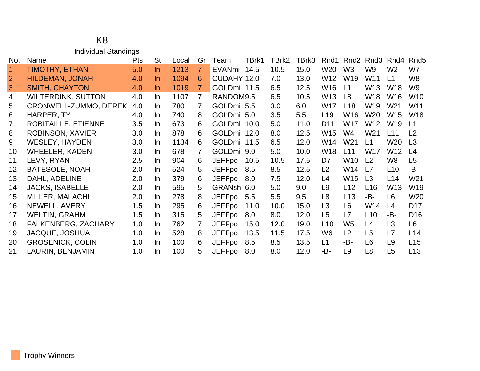### K8 Individual Standings

| No.             | Name                       | Pts | <b>St</b> | Local | Gr             | Team          | TBrk1 | TBrk2 | TBrk3 | Rnd1            | Rnd <sub>2</sub> | Rnd <sub>3</sub> | Rnd4            | Rnd <sub>5</sub> |
|-----------------|----------------------------|-----|-----------|-------|----------------|---------------|-------|-------|-------|-----------------|------------------|------------------|-----------------|------------------|
| $\overline{1}$  | <b>TIMOTHY, ETHAN</b>      | 5.0 | $\ln$     | 1213  | $\overline{7}$ | EVANmi        | 14.5  | 10.5  | 15.0  | W20             | W <sub>3</sub>   | W9               | W <sub>2</sub>  | W7               |
| 2               | <b>HILDEMAN, JONAH</b>     | 4.0 | In.       | 1094  | 6              | CUDAHY 12.0   |       | 7.0   | 13.0  | W12             | W <sub>19</sub>  | W11              | L1              | W8               |
| 3               | <b>SMITH, CHAYTON</b>      | 4.0 | $\ln$     | 1019  | $\overline{7}$ | GOLDmi 11.5   |       | 6.5   | 12.5  | W16             | L1               | W <sub>13</sub>  | W <sub>18</sub> | W <sub>9</sub>   |
| $\overline{4}$  | <b>WILTERDINK, SUTTON</b>  | 4.0 | In.       | 1107  | $\overline{7}$ | RANDOM9.5     |       | 6.5   | 10.5  | W <sub>13</sub> | L8               | W18              | W <sub>16</sub> | W <sub>10</sub>  |
| 5               | CRONWELL-ZUMMO, DEREK      | 4.0 | In.       | 780   | 7              | GOLDmi 5.5    |       | 3.0   | 6.0   | W17             | L <sub>18</sub>  | W19              | W21             | W11              |
| 6               | HARPER, TY                 | 4.0 | In.       | 740   | 8              | GOLDmi 5.0    |       | 3.5   | 5.5   | L <sub>19</sub> | W <sub>16</sub>  | W20              | W <sub>15</sub> | <b>W18</b>       |
| $\overline{7}$  | ROBITAILLE, ETIENNE        | 3.5 | In.       | 673   | 6              | GOLDmi 10.0   |       | 5.0   | 11.0  | D <sub>11</sub> | W17              | W12              | W <sub>19</sub> | L1               |
| 8               | ROBINSON, XAVIER           | 3.0 | In.       | 878   | 6              | GOLDmi 12.0   |       | 8.0   | 12.5  | W15             | W <sub>4</sub>   | W <sub>21</sub>  | L11             | L <sub>2</sub>   |
| 9               | <b>WESLEY, HAYDEN</b>      | 3.0 | In.       | 1134  | 6              | GOLDmi 11.5   |       | 6.5   | 12.0  | W14             | W21              | L1               | W <sub>20</sub> | L3               |
| 10              | <b>WHEELER, KADEN</b>      | 3.0 | In.       | 678   | 7              | GOLDmi 9.0    |       | 5.0   | 10.0  | W18             | L11              | W17              | W12             | L <sub>4</sub>   |
| 11              | LEVY, RYAN                 | 2.5 | In.       | 904   | 6              | <b>JEFFpo</b> | 10.5  | 10.5  | 17.5  | D7              | W10              | L <sub>2</sub>   | W <sub>8</sub>  | L5               |
| 12 <sup>°</sup> | <b>BATESOLE, NOAH</b>      | 2.0 | In.       | 524   | 5              | <b>JEFFpo</b> | 8.5   | 8.5   | 12.5  | L2              | W14              | L7               | L <sub>10</sub> | -B-              |
| 13              | DAHL, ADELINE              | 2.0 | In.       | 379   | 6              | <b>JEFFpo</b> | 8.0   | 7.5   | 12.0  | L4              | W15              | L <sub>3</sub>   | L14             | W <sub>21</sub>  |
| 14              | <b>JACKS, ISABELLE</b>     | 2.0 | In.       | 595   | 5              | GRANsh 6.0    |       | 5.0   | 9.0   | L <sub>9</sub>  | L12              | L16              | W13             | W <sub>19</sub>  |
| 15              | MILLER, MALACHI            | 2.0 | In.       | 278   | 8              | <b>JEFFpo</b> | 5.5   | 5.5   | 9.5   | L <sub>8</sub>  | L13              | -B-              | L <sub>6</sub>  | W <sub>20</sub>  |
| 16              | NEWELL, AVERY              | 1.5 | In.       | 295   | 6              | <b>JEFFpo</b> | 11.0  | 10.0  | 15.0  | L <sub>3</sub>  | L <sub>6</sub>   | W14              | L4              | D <sub>17</sub>  |
| 17              | <b>WELTIN, GRAHM</b>       | 1.5 | In.       | 315   | 5              | <b>JEFFpo</b> | 8.0   | 8.0   | 12.0  | L5              | L7               | L10              | -B-             | D <sub>16</sub>  |
| 18              | <b>FALKENBERG, ZACHARY</b> | 1.0 | In.       | 762   | 7              | <b>JEFFpo</b> | 15.0  | 12.0  | 19.0  | L <sub>10</sub> | W <sub>5</sub>   | L4               | L3              | L <sub>6</sub>   |
| 19              | <b>JACQUE, JOSHUA</b>      | 1.0 | In.       | 528   | 8              | <b>JEFFpo</b> | 13.5  | 11.5  | 17.5  | W6              | L2               | L <sub>5</sub>   | L7              | L14              |
| 20              | <b>GROSENICK, COLIN</b>    | 1.0 | In.       | 100   | 6              | <b>JEFFpo</b> | 8.5   | 8.5   | 13.5  | L1              | -B-              | L <sub>6</sub>   | L <sub>9</sub>  | L15              |
| 21              | LAURIN, BENJAMIN           | 1.0 | In.       | 100   | 5              | <b>JEFFpo</b> | 8.0   | 8.0   | 12.0  | -B-             | L9               | L <sub>8</sub>   | L <sub>5</sub>  | L13              |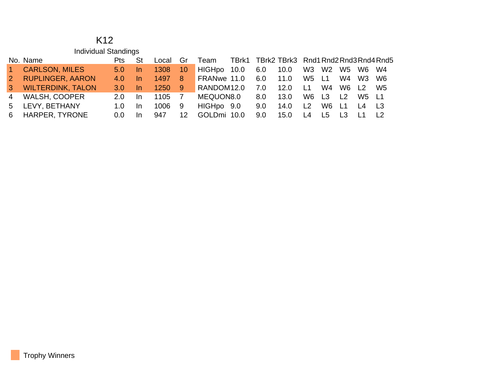#### K12 Individual Standings

|       | No. Name              | <b>Pts</b>       | St   | Local Gr |    | Team            | TBrk1 TBrk2 TBrk3 Rnd1 Rnd2 Rnd3 Rnd4 Rnd5 |     |                     |             |                |       |          |                |
|-------|-----------------------|------------------|------|----------|----|-----------------|--------------------------------------------|-----|---------------------|-------------|----------------|-------|----------|----------------|
| $1 -$ | <b>CARLSON, MILES</b> | 5.0              | -In- | 1308     | 10 | HIGHpo 10.0 6.0 |                                            |     | 10.0 W3 W2 W5 W6 W4 |             |                |       |          |                |
|       | 2 RUPLINGER, AARON    | 4.0              | -In  | 1497 8   |    | FRANwe 11.0 6.0 |                                            |     | 11.0 W5 L1          |             |                |       | W4 W3 W6 |                |
|       | 3 WILTERDINK, TALON   | 3.0 <sub>1</sub> | In.  | 1250 9   |    | RANDOM12.0      |                                            | 7.0 | 12.0                | <b>L1</b>   | W <sub>4</sub> | W6 L2 |          | W5             |
|       | 4 WALSH, COOPER       | 2.0              | In.  | 1105 7   |    | MEQUON8.0       |                                            | 8.0 | 13.0                |             | W6 L3 L2       |       | W5 L1    |                |
|       | 5 LEVY, BETHANY       | 1.0 <sub>1</sub> | -In  | 1006     | 9  | HIGHpo 9.0      |                                            | 9.0 | 14.0                | L2          | W6 L1 L4 L3    |       |          |                |
|       | 6 HARPER, TYRONE      | $0.0^-$          | In.  | 947      | 12 | GOLDmi 10.0     |                                            | 9.0 | 15.0                | L4 L5 L3 L1 |                |       |          | L <sub>2</sub> |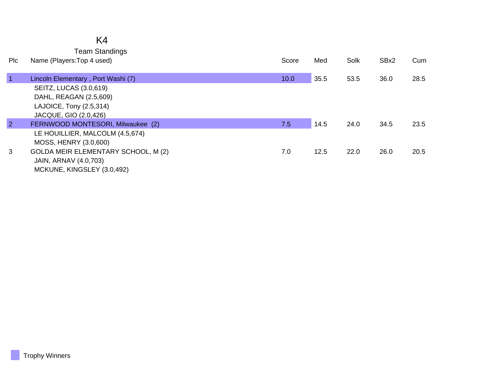## K4

Team Standings

| <b>PIC</b>     | Name (Players: Top 4 used)          | Score | Med  | Solk | SBx2 | Cum  |
|----------------|-------------------------------------|-------|------|------|------|------|
| $\mathbf{1}$   | Lincoln Elementary, Port Washi (7)  | 10.0  | 35.5 | 53.5 | 36.0 | 28.5 |
|                | <b>SEITZ, LUCAS (3.0,619)</b>       |       |      |      |      |      |
|                | DAHL, REAGAN (2.5,609)              |       |      |      |      |      |
|                | LAJOICE, Tony (2.5,314)             |       |      |      |      |      |
|                | JACQUE, GIO (2.0,426)               |       |      |      |      |      |
| $\overline{2}$ | FERNWOOD MONTESORI, Milwaukee (2)   | 7.5   | 14.5 | 24.0 | 34.5 | 23.5 |
|                | LE HOUILLIER, MALCOLM (4.5,674)     |       |      |      |      |      |
|                | MOSS, HENRY (3.0,600)               |       |      |      |      |      |
| 3              | GOLDA MEIR ELEMENTARY SCHOOL, M (2) | 7.0   | 12.5 | 22.0 | 26.0 | 20.5 |
|                | JAIN, ARNAV (4.0,703)               |       |      |      |      |      |
|                | MCKUNE, KINGSLEY (3.0,492)          |       |      |      |      |      |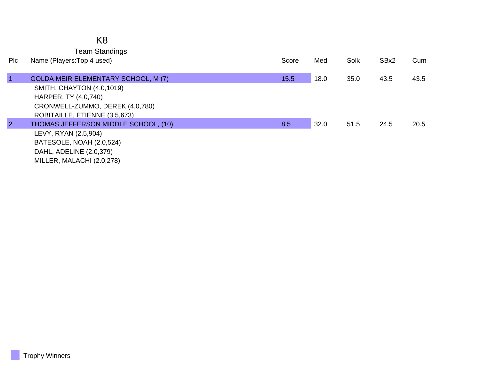Team Standings

| <b>PIC</b>     | Name (Players: Top 4 used)                 | Score | Med  | Solk | SBx2 | Cum  |
|----------------|--------------------------------------------|-------|------|------|------|------|
|                |                                            |       |      |      |      |      |
|                | <b>GOLDA MEIR ELEMENTARY SCHOOL, M (7)</b> | 15.5  | 18.0 | 35.0 | 43.5 | 43.5 |
|                | SMITH, CHAYTON (4.0,1019)                  |       |      |      |      |      |
|                | HARPER, TY (4.0,740)                       |       |      |      |      |      |
|                | CRONWELL-ZUMMO, DEREK (4.0,780)            |       |      |      |      |      |
|                | ROBITAILLE, ETIENNE (3.5,673)              |       |      |      |      |      |
| $\overline{2}$ | THOMAS JEFFERSON MIDDLE SCHOOL, (10)       | 8.5   | 32.0 | 51.5 | 24.5 | 20.5 |
|                | LEVY, RYAN (2.5,904)                       |       |      |      |      |      |
|                | BATESOLE, NOAH (2.0,524)                   |       |      |      |      |      |
|                | DAHL, ADELINE (2.0,379)                    |       |      |      |      |      |
|                | MILLER, MALACHI (2.0,278)                  |       |      |      |      |      |